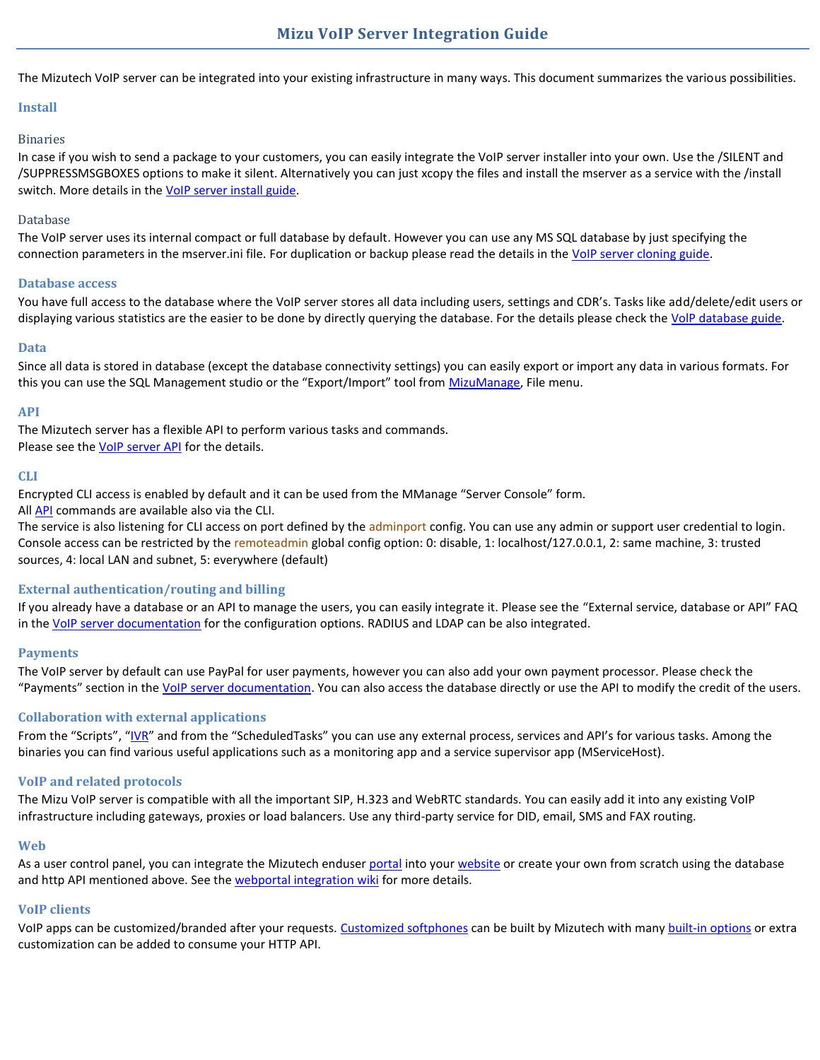The Mizutech VoIP server can be integrated into your existing infrastructure in many ways. This document summarizes the various possibilities.

## **Install**

## Binaries

In case if you wish to send a package to your customers, you can easily integrate the VoIP server installer into your own. Use the /SILENT and /SUPPRESSMSGBOXES options to make it silent. Alternatively you can just xcopy the files and install the mserver as a service with the /install switch. More details in the [VoIP server install guide.](https://www.mizu-voip.com/Portals/0/Files/mizu_voip_server_install_guide.pdf)

#### Database

The VoIP server uses its internal compact or full database by default. However you can use any MS SQL database by just specifying the connection parameters in the mserver.ini file. For duplication or backup please read the details in the [VoIP server cloning guide.](https://www.mizu-voip.com/Portals/0/Files/Cloning_Mizu_VoIP_server.pdf)

## **Database access**

You have full access to the database where the VoIP server stores all data including users, settings and CDR's. Tasks like add/delete/edit users or displaying various statistics are the easier to be done by directly querying the database. For the details please check the [VolP database guide.](https://www.mizu-voip.com/Portals/0/Files/VoIP_Database_Interface.pdf)

## **Data**

Since all data is stored in database (except the database connectivity settings) you can easily export or import any data in various formats. For this you can use the SQL Management studio or the "Export/Import" tool from [MizuManage,](https://www.mizu-voip.com/Portals/0/Files/MizuManagement_Setup.exe) File menu.

## **API**

The Mizutech server has a flexible API to perform various tasks and commands. Please see the **VoIP server API** for the details.

## **CLI**

Encrypted CLI access is enabled by default and it can be used from the MManage "Server Console" form.

All [API](https://www.mizu-voip.com/Portals/0/Files/VoIP%20Server%20API.pdf) commands are available also via the CLI.

The service is also listening for CLI access on port defined by the adminport config. You can use any admin or support user credential to login. Console access can be restricted by the remoteadmin global config option: 0: disable, 1: localhost/127.0.0.1, 2: same machine, 3: trusted sources, 4: local LAN and subnet, 5: everywhere (default)

## **External authentication/routing and billing**

If you already have a database or an API to manage the users, you can easily integrate it. Please see the "External service, database or API" FAQ in the [VoIP server documentation](https://www.mizu-voip.com/LinkClick.aspx?fileticket=iP2DA5gwh-s%3d&tabid=176&portalid=0&mid=675) for the configuration options. RADIUS and LDAP can be also integrated.

## **Payments**

The VoIP server by default can use PayPal for user payments, however you can also add your own payment processor. Please check the "Payments" section in the [VoIP server documentation.](https://www.mizu-voip.com/LinkClick.aspx?fileticket=iP2DA5gwh-s%3d&tabid=176&portalid=0&mid=675) You can also access the database directly or use the API to modify the credit of the users.

## **Collaboration with external applications**

From the "Scripts", "[IVR](http://www.mizu-voip.com/Portals/0/Files/IVR.pdf)" and from the "ScheduledTasks" you can use any external process, services and API's for various tasks. Among the binaries you can find various useful applications such as a monitoring app and a service supervisor app (MServiceHost).

## **VoIP and related protocols**

The Mizu VoIP server is compatible with all the important SIP, H.323 and WebRTC standards. You can easily add it into any existing VoIP infrastructure including gateways, proxies or load balancers. Use any third-party service for DID, email, SMS and FAX routing.

#### **Web**

As a user control panel, you can integrate the Mizutech enduser [portal](https://www.mizu-voip.com/Portals/0/Files/WebPortal.pdf) into you[r website](https://www.mizu-voip.com/Portals/0/Files/VoIP_WebSite.pdf) or create your own from scratch using the database and http API mentioned above. See th[e webportal integration wiki](https://www.mizu-voip.com/Support/Wiki/tabid/99/Default.aspx?topic=Webportal+integration) for more details.

## **VoIP clients**

VoIP apps can be customized/branded after your requests. [Customized softphones](https://www.mizu-voip.com/Software/Softphones/CustomizedSoftphone.aspx) can be built by Mizutech with many [built-in options](https://www.mizu-voip.com/Support/Wiki/tabid/99/Default.aspx?topic=General+softphone+customization) or extra customization can be added to consume your HTTP API.